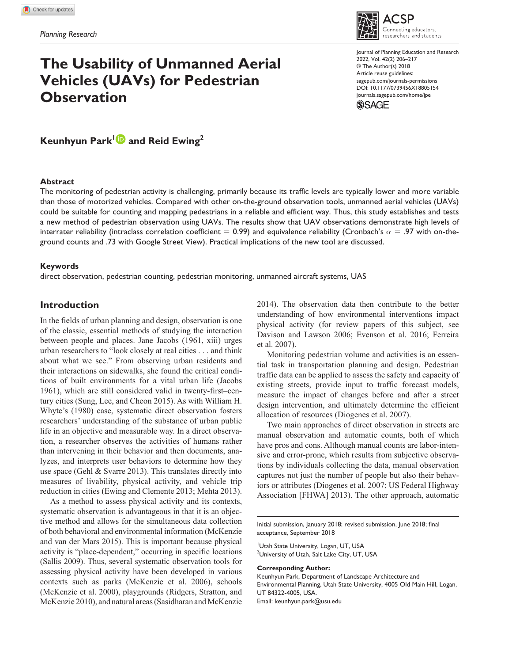# **The Usability of Unmanned Aerial Vehicles (UAVs) for Pedestrian Observation**

onnecting educators. researchers and students Journal of Planning Education and Research 2022, Vol. 42(2) 206–217 © The Author(s) 2018

SP



Article reuse guidelines: [sagepub.com/journals-permissions](https://us.sagepub.com/en-us/journals-permissions)

Keunhyun Park<sup>1</sup> and Reid Ewing<sup>2</sup>

## **Abstract**

The monitoring of pedestrian activity is challenging, primarily because its traffic levels are typically lower and more variable than those of motorized vehicles. Compared with other on-the-ground observation tools, unmanned aerial vehicles (UAVs) could be suitable for counting and mapping pedestrians in a reliable and efficient way. Thus, this study establishes and tests a new method of pedestrian observation using UAVs. The results show that UAV observations demonstrate high levels of interrater reliability (intraclass correlation coefficient = 0.99) and equivalence reliability (Cronbach's  $\alpha = .97$  with on-theground counts and .73 with Google Street View). Practical implications of the new tool are discussed.

### **Keywords**

direct observation, pedestrian counting, pedestrian monitoring, unmanned aircraft systems, UAS

# **Introduction**

In the fields of urban planning and design, observation is one of the classic, essential methods of studying the interaction between people and places. Jane Jacobs (1961, xiii) urges urban researchers to "look closely at real cities . . . and think about what we see." From observing urban residents and their interactions on sidewalks, she found the critical conditions of built environments for a vital urban life (Jacobs 1961), which are still considered valid in twenty-first–century cities (Sung, Lee, and Cheon 2015). As with William H. Whyte's (1980) case, systematic direct observation fosters researchers' understanding of the substance of urban public life in an objective and measurable way. In a direct observation, a researcher observes the activities of humans rather than intervening in their behavior and then documents, analyzes, and interprets user behaviors to determine how they use space (Gehl & Svarre 2013). This translates directly into measures of livability, physical activity, and vehicle trip reduction in cities (Ewing and Clemente 2013; Mehta 2013).

As a method to assess physical activity and its contexts, systematic observation is advantageous in that it is an objective method and allows for the simultaneous data collection of both behavioral and environmental information (McKenzie and van der Mars 2015). This is important because physical activity is "place-dependent," occurring in specific locations (Sallis 2009). Thus, several systematic observation tools for assessing physical activity have been developed in various contexts such as parks (McKenzie et al. 2006), schools (McKenzie et al. 2000), playgrounds (Ridgers, Stratton, and McKenzie 2010), and natural areas (Sasidharan and McKenzie

2014). The observation data then contribute to the better understanding of how environmental interventions impact physical activity (for review papers of this subject, see Davison and Lawson 2006; Evenson et al. 2016; Ferreira et al. 2007).

Monitoring pedestrian volume and activities is an essential task in transportation planning and design. Pedestrian traffic data can be applied to assess the safety and capacity of existing streets, provide input to traffic forecast models, measure the impact of changes before and after a street design intervention, and ultimately determine the efficient allocation of resources (Diogenes et al. 2007).

Two main approaches of direct observation in streets are manual observation and automatic counts, both of which have pros and cons. Although manual counts are labor-intensive and error-prone, which results from subjective observations by individuals collecting the data, manual observation captures not just the number of people but also their behaviors or attributes (Diogenes et al. 2007; US Federal Highway Association [FHWA] 2013). The other approach, automatic

Initial submission, January 2018; revised submission, June 2018; final acceptance, September 2018

Utah State University, Logan, UT, USA  $^{2}$ University of Utah, Salt Lake City, UT, USA

#### **Corresponding Author:**

Keunhyun Park, Department of Landscape Architecture and Environmental Planning, Utah State University, 4005 Old Main Hill, Logan, UT 84322-4005, USA. Email: [keunhyun.park@usu.edu](mailto:keunhyun.park@usu.edu)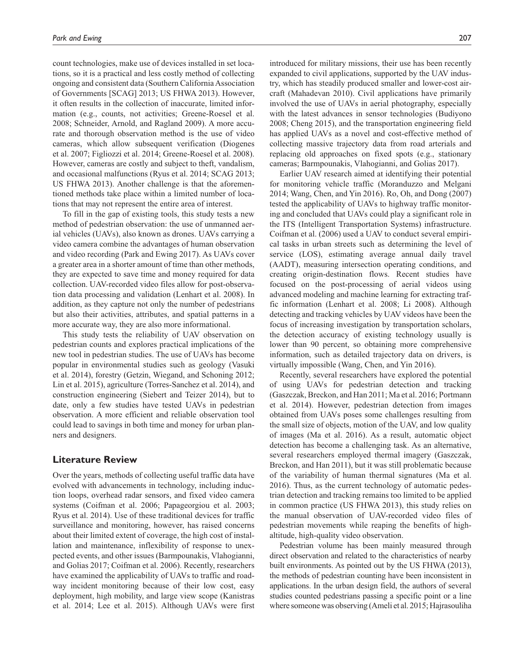count technologies, make use of devices installed in set locations, so it is a practical and less costly method of collecting ongoing and consistent data (Southern California Association of Governments [SCAG] 2013; US FHWA 2013). However, it often results in the collection of inaccurate, limited information (e.g., counts, not activities; Greene-Roesel et al. 2008; Schneider, Arnold, and Ragland 2009). A more accurate and thorough observation method is the use of video cameras, which allow subsequent verification (Diogenes et al. 2007; Figliozzi et al. 2014; Greene-Roesel et al. 2008). However, cameras are costly and subject to theft, vandalism, and occasional malfunctions (Ryus et al. 2014; SCAG 2013; US FHWA 2013). Another challenge is that the aforementioned methods take place within a limited number of locations that may not represent the entire area of interest.

To fill in the gap of existing tools, this study tests a new method of pedestrian observation: the use of unmanned aerial vehicles (UAVs), also known as drones. UAVs carrying a video camera combine the advantages of human observation and video recording (Park and Ewing 2017). As UAVs cover a greater area in a shorter amount of time than other methods, they are expected to save time and money required for data collection. UAV-recorded video files allow for post-observation data processing and validation (Lenhart et al. 2008). In addition, as they capture not only the number of pedestrians but also their activities, attributes, and spatial patterns in a more accurate way, they are also more informational.

This study tests the reliability of UAV observation on pedestrian counts and explores practical implications of the new tool in pedestrian studies. The use of UAVs has become popular in environmental studies such as geology (Vasuki et al. 2014), forestry (Getzin, Wiegand, and Schoning 2012; Lin et al. 2015), agriculture (Torres-Sanchez et al. 2014), and construction engineering (Siebert and Teizer 2014), but to date, only a few studies have tested UAVs in pedestrian observation. A more efficient and reliable observation tool could lead to savings in both time and money for urban planners and designers.

# **Literature Review**

Over the years, methods of collecting useful traffic data have evolved with advancements in technology, including induction loops, overhead radar sensors, and fixed video camera systems (Coifman et al. 2006; Papageorgiou et al. 2003; Ryus et al. 2014). Use of these traditional devices for traffic surveillance and monitoring, however, has raised concerns about their limited extent of coverage, the high cost of installation and maintenance, inflexibility of response to unexpected events, and other issues (Barmpounakis, Vlahogianni, and Golias 2017; Coifman et al. 2006). Recently, researchers have examined the applicability of UAVs to traffic and roadway incident monitoring because of their low cost, easy deployment, high mobility, and large view scope (Kanistras et al. 2014; Lee et al. 2015). Although UAVs were first

introduced for military missions, their use has been recently expanded to civil applications, supported by the UAV industry, which has steadily produced smaller and lower-cost aircraft (Mahadevan 2010). Civil applications have primarily involved the use of UAVs in aerial photography, especially with the latest advances in sensor technologies (Budiyono 2008; Cheng 2015), and the transportation engineering field has applied UAVs as a novel and cost-effective method of collecting massive trajectory data from road arterials and replacing old approaches on fixed spots (e.g., stationary cameras; Barmpounakis, Vlahogianni, and Golias 2017).

Earlier UAV research aimed at identifying their potential for monitoring vehicle traffic (Moranduzzo and Melgani 2014; Wang, Chen, and Yin 2016). Ro, Oh, and Dong (2007) tested the applicability of UAVs to highway traffic monitoring and concluded that UAVs could play a significant role in the ITS (Intelligent Transportation Systems) infrastructure. Coifman et al. (2006) used a UAV to conduct several empirical tasks in urban streets such as determining the level of service (LOS), estimating average annual daily travel (AADT), measuring intersection operating conditions, and creating origin-destination flows. Recent studies have focused on the post-processing of aerial videos using advanced modeling and machine learning for extracting traffic information (Lenhart et al. 2008; Li 2008). Although detecting and tracking vehicles by UAV videos have been the focus of increasing investigation by transportation scholars, the detection accuracy of existing technology usually is lower than 90 percent, so obtaining more comprehensive information, such as detailed trajectory data on drivers, is virtually impossible (Wang, Chen, and Yin 2016).

Recently, several researchers have explored the potential of using UAVs for pedestrian detection and tracking (Gaszczak, Breckon, and Han 2011; Ma et al. 2016; Portmann et al. 2014). However, pedestrian detection from images obtained from UAVs poses some challenges resulting from the small size of objects, motion of the UAV, and low quality of images (Ma et al. 2016). As a result, automatic object detection has become a challenging task. As an alternative, several researchers employed thermal imagery (Gaszczak, Breckon, and Han 2011), but it was still problematic because of the variability of human thermal signatures (Ma et al. 2016). Thus, as the current technology of automatic pedestrian detection and tracking remains too limited to be applied in common practice (US FHWA 2013), this study relies on the manual observation of UAV-recorded video files of pedestrian movements while reaping the benefits of highaltitude, high-quality video observation.

Pedestrian volume has been mainly measured through direct observation and related to the characteristics of nearby built environments. As pointed out by the US FHWA (2013), the methods of pedestrian counting have been inconsistent in applications. In the urban design field, the authors of several studies counted pedestrians passing a specific point or a line where someone was observing (Ameli et al. 2015; Hajrasouliha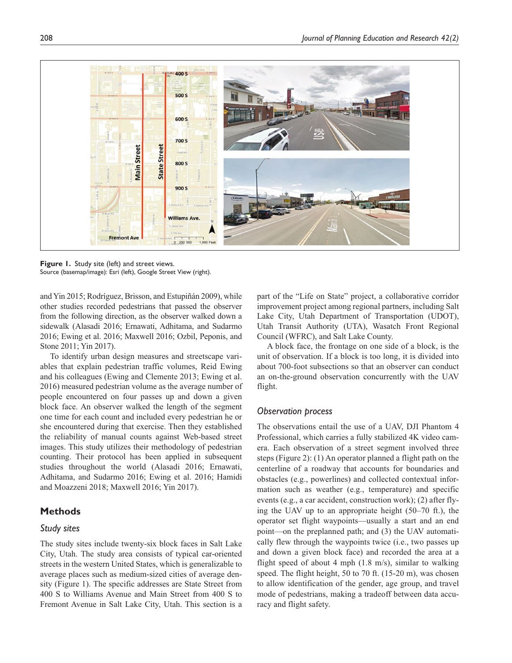

**Figure 1.** Study site (left) and street views. Source (basemap/image): Esri (left), Google Street View (right).

and Yin 2015; Rodríguez, Brisson, and Estupiñán 2009), while other studies recorded pedestrians that passed the observer from the following direction, as the observer walked down a sidewalk (Alasadi 2016; Ernawati, Adhitama, and Sudarmo 2016; Ewing et al. 2016; Maxwell 2016; Ozbil, Peponis, and Stone 2011; Yin 2017).

To identify urban design measures and streetscape variables that explain pedestrian traffic volumes, Reid Ewing and his colleagues (Ewing and Clemente 2013; Ewing et al. 2016) measured pedestrian volume as the average number of people encountered on four passes up and down a given block face. An observer walked the length of the segment one time for each count and included every pedestrian he or she encountered during that exercise. Then they established the reliability of manual counts against Web-based street images. This study utilizes their methodology of pedestrian counting. Their protocol has been applied in subsequent studies throughout the world (Alasadi 2016; Ernawati, Adhitama, and Sudarmo 2016; Ewing et al. 2016; Hamidi and Moazzeni 2018; Maxwell 2016; Yin 2017).

# **Methods**

## *Study sites*

The study sites include twenty-six block faces in Salt Lake City, Utah. The study area consists of typical car-oriented streets in the western United States, which is generalizable to average places such as medium-sized cities of average density (Figure 1). The specific addresses are State Street from 400 S to Williams Avenue and Main Street from 400 S to Fremont Avenue in Salt Lake City, Utah. This section is a

part of the "Life on State" project, a collaborative corridor improvement project among regional partners, including Salt Lake City, Utah Department of Transportation (UDOT), Utah Transit Authority (UTA), Wasatch Front Regional Council (WFRC), and Salt Lake County.

A block face, the frontage on one side of a block, is the unit of observation. If a block is too long, it is divided into about 700-foot subsections so that an observer can conduct an on-the-ground observation concurrently with the UAV flight.

## *Observation process*

The observations entail the use of a UAV, DJI Phantom 4 Professional, which carries a fully stabilized 4K video camera. Each observation of a street segment involved three steps (Figure 2): (1) An operator planned a flight path on the centerline of a roadway that accounts for boundaries and obstacles (e.g., powerlines) and collected contextual information such as weather (e.g., temperature) and specific events (e.g., a car accident, construction work); (2) after flying the UAV up to an appropriate height (50–70 ft.), the operator set flight waypoints—usually a start and an end point—on the preplanned path; and (3) the UAV automatically flew through the waypoints twice (i.e., two passes up and down a given block face) and recorded the area at a flight speed of about 4 mph (1.8 m/s), similar to walking speed. The flight height, 50 to 70 ft. (15-20 m), was chosen to allow identification of the gender, age group, and travel mode of pedestrians, making a tradeoff between data accuracy and flight safety.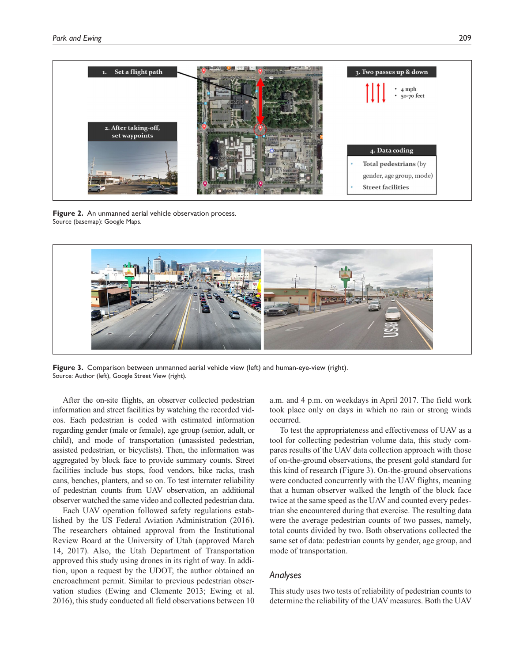

**Figure 2.** An unmanned aerial vehicle observation process. Source (basemap): Google Maps.



**Figure 3.** Comparison between unmanned aerial vehicle view (left) and human-eye-view (right). Source: Author (left), Google Street View (right).

After the on-site flights, an observer collected pedestrian information and street facilities by watching the recorded videos. Each pedestrian is coded with estimated information regarding gender (male or female), age group (senior, adult, or child), and mode of transportation (unassisted pedestrian, assisted pedestrian, or bicyclists). Then, the information was aggregated by block face to provide summary counts. Street facilities include bus stops, food vendors, bike racks, trash cans, benches, planters, and so on. To test interrater reliability of pedestrian counts from UAV observation, an additional observer watched the same video and collected pedestrian data.

Each UAV operation followed safety regulations established by the US Federal Aviation Administration (2016). The researchers obtained approval from the Institutional Review Board at the University of Utah (approved March 14, 2017). Also, the Utah Department of Transportation approved this study using drones in its right of way. In addition, upon a request by the UDOT, the author obtained an encroachment permit. Similar to previous pedestrian observation studies (Ewing and Clemente 2013; Ewing et al. 2016), this study conducted all field observations between 10

a.m. and 4 p.m. on weekdays in April 2017. The field work took place only on days in which no rain or strong winds occurred.

To test the appropriateness and effectiveness of UAV as a tool for collecting pedestrian volume data, this study compares results of the UAV data collection approach with those of on-the-ground observations, the present gold standard for this kind of research (Figure 3). On-the-ground observations were conducted concurrently with the UAV flights, meaning that a human observer walked the length of the block face twice at the same speed as the UAV and counted every pedestrian she encountered during that exercise. The resulting data were the average pedestrian counts of two passes, namely, total counts divided by two. Both observations collected the same set of data: pedestrian counts by gender, age group, and mode of transportation.

# *Analyses*

This study uses two tests of reliability of pedestrian counts to determine the reliability of the UAV measures. Both the UAV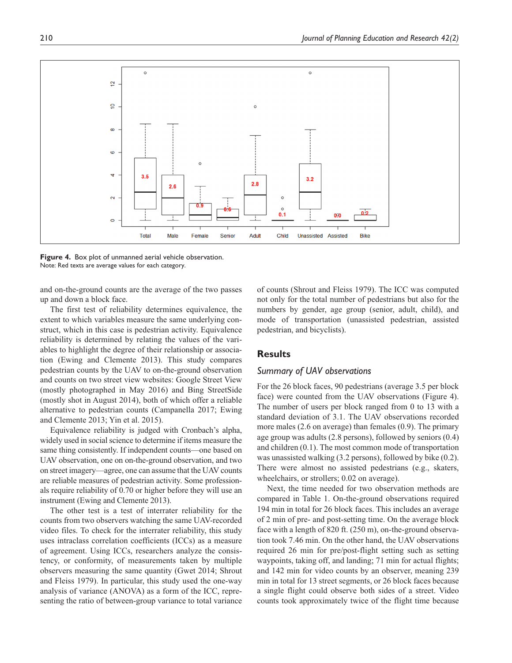

**Figure 4.** Box plot of unmanned aerial vehicle observation. Note: Red texts are average values for each category.

and on-the-ground counts are the average of the two passes up and down a block face.

The first test of reliability determines equivalence, the extent to which variables measure the same underlying construct, which in this case is pedestrian activity. Equivalence reliability is determined by relating the values of the variables to highlight the degree of their relationship or association (Ewing and Clemente 2013). This study compares pedestrian counts by the UAV to on-the-ground observation and counts on two street view websites: Google Street View (mostly photographed in May 2016) and Bing StreetSide (mostly shot in August 2014), both of which offer a reliable alternative to pedestrian counts (Campanella 2017; Ewing and Clemente 2013; Yin et al. 2015).

Equivalence reliability is judged with Cronbach's alpha, widely used in social science to determine if items measure the same thing consistently. If independent counts—one based on UAV observation, one on on-the-ground observation, and two on street imagery—agree, one can assume that the UAV counts are reliable measures of pedestrian activity. Some professionals require reliability of 0.70 or higher before they will use an instrument (Ewing and Clemente 2013).

The other test is a test of interrater reliability for the counts from two observers watching the same UAV-recorded video files. To check for the interrater reliability, this study uses intraclass correlation coefficients (ICCs) as a measure of agreement. Using ICCs, researchers analyze the consistency, or conformity, of measurements taken by multiple observers measuring the same quantity (Gwet 2014; Shrout and Fleiss 1979). In particular, this study used the one-way analysis of variance (ANOVA) as a form of the ICC, representing the ratio of between-group variance to total variance

of counts (Shrout and Fleiss 1979). The ICC was computed not only for the total number of pedestrians but also for the numbers by gender, age group (senior, adult, child), and mode of transportation (unassisted pedestrian, assisted pedestrian, and bicyclists).

# **Results**

#### *Summary of UAV observations*

For the 26 block faces, 90 pedestrians (average 3.5 per block face) were counted from the UAV observations (Figure 4). The number of users per block ranged from 0 to 13 with a standard deviation of 3.1. The UAV observations recorded more males (2.6 on average) than females (0.9). The primary age group was adults (2.8 persons), followed by seniors (0.4) and children (0.1). The most common mode of transportation was unassisted walking (3.2 persons), followed by bike (0.2). There were almost no assisted pedestrians (e.g., skaters, wheelchairs, or strollers; 0.02 on average).

Next, the time needed for two observation methods are compared in Table 1. On-the-ground observations required 194 min in total for 26 block faces. This includes an average of 2 min of pre- and post-setting time. On the average block face with a length of 820 ft. (250 m), on-the-ground observation took 7.46 min. On the other hand, the UAV observations required 26 min for pre/post-flight setting such as setting waypoints, taking off, and landing; 71 min for actual flights; and 142 min for video counts by an observer, meaning 239 min in total for 13 street segments, or 26 block faces because a single flight could observe both sides of a street. Video counts took approximately twice of the flight time because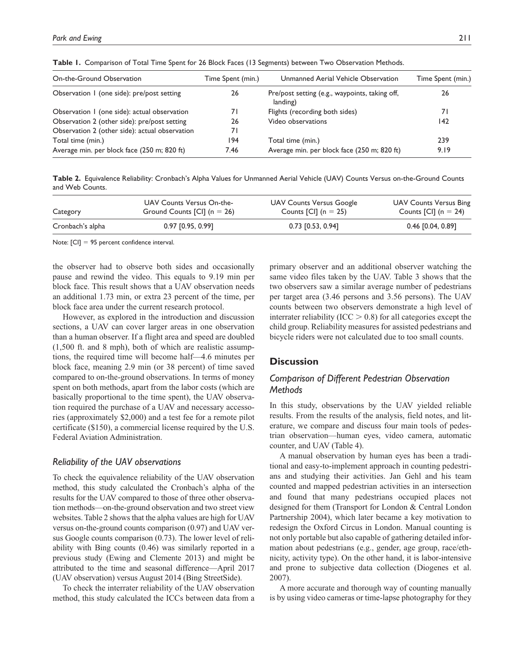| Table I. Comparison of Total Time Spent for 26 Block Faces (13 Segments) between Two Observation Methods. |                   |                                                            |                   |  |
|-----------------------------------------------------------------------------------------------------------|-------------------|------------------------------------------------------------|-------------------|--|
| On-the-Ground Observation                                                                                 | Time Spent (min.) | Unmanned Aerial Vehicle Observation                        | Time Spent (min.) |  |
| Observation 1 (one side): pre/post setting                                                                | 26                | Pre/post setting (e.g., waypoints, taking off,<br>landing) | 26                |  |
| Observation 1 (one side): actual observation                                                              |                   | Flights (recording both sides)                             |                   |  |

Table 1. Comparison of To

**Table 2.** Equivalence Reliability: Cronbach's Alpha Values for Unmanned Aerial Vehicle (UAV) Counts Versus on-the-Ground Counts and Web Counts.

Observation 2 (other side): pre/post setting 26 Video observations 142

Total time (min.) 194 Total time (min.) 239 Average min. per block face (250 m; 820 ft) 7.46 Average min. per block face (250 m; 820 ft) 9.19

| Category         | UAV Counts Versus On-the-     | UAV Counts Versus Google             | <b>UAV Counts Versus Bing</b>        |  |
|------------------|-------------------------------|--------------------------------------|--------------------------------------|--|
|                  | Ground Counts $[CI]$ (n = 26) | Counts $\lceil$ Cl $\rceil$ (n = 25) | Counts $\lceil$ Cl $\rceil$ (n = 24) |  |
| Cronbach's alpha | $0.97$ [0.95, 0.99]           | $0.73$ [0.53, 0.94]                  | $0.46$ [0.04, 0.89]                  |  |

Note: [CI] = 95 percent confidence interval.

the observer had to observe both sides and occasionally pause and rewind the video. This equals to 9.19 min per block face. This result shows that a UAV observation needs an additional 1.73 min, or extra 23 percent of the time, per block face area under the current research protocol.

Observation 2 (other side): actual observation 71

However, as explored in the introduction and discussion sections, a UAV can cover larger areas in one observation than a human observer. If a flight area and speed are doubled (1,500 ft. and 8 mph), both of which are realistic assumptions, the required time will become half—4.6 minutes per block face, meaning 2.9 min (or 38 percent) of time saved compared to on-the-ground observations. In terms of money spent on both methods, apart from the labor costs (which are basically proportional to the time spent), the UAV observation required the purchase of a UAV and necessary accessories (approximately \$2,000) and a test fee for a remote pilot certificate (\$150), a commercial license required by the U.S. Federal Aviation Administration.

## *Reliability of the UAV observations*

To check the equivalence reliability of the UAV observation method, this study calculated the Cronbach's alpha of the results for the UAV compared to those of three other observation methods—on-the-ground observation and two street view websites. Table 2 shows that the alpha values are high for UAV versus on-the-ground counts comparison (0.97) and UAV versus Google counts comparison (0.73). The lower level of reliability with Bing counts (0.46) was similarly reported in a previous study (Ewing and Clemente 2013) and might be attributed to the time and seasonal difference—April 2017 (UAV observation) versus August 2014 (Bing StreetSide).

To check the interrater reliability of the UAV observation method, this study calculated the ICCs between data from a primary observer and an additional observer watching the same video files taken by the UAV. Table 3 shows that the two observers saw a similar average number of pedestrians per target area (3.46 persons and 3.56 persons). The UAV counts between two observers demonstrate a high level of interrater reliability (ICC  $> 0.8$ ) for all categories except the child group. Reliability measures for assisted pedestrians and bicycle riders were not calculated due to too small counts.

# **Discussion**

# *Comparison of Different Pedestrian Observation Methods*

In this study, observations by the UAV yielded reliable results. From the results of the analysis, field notes, and literature, we compare and discuss four main tools of pedestrian observation—human eyes, video camera, automatic counter, and UAV (Table 4).

A manual observation by human eyes has been a traditional and easy-to-implement approach in counting pedestrians and studying their activities. Jan Gehl and his team counted and mapped pedestrian activities in an intersection and found that many pedestrians occupied places not designed for them (Transport for London & Central London Partnership 2004), which later became a key motivation to redesign the Oxford Circus in London. Manual counting is not only portable but also capable of gathering detailed information about pedestrians (e.g., gender, age group, race/ethnicity, activity type). On the other hand, it is labor-intensive and prone to subjective data collection (Diogenes et al. 2007).

A more accurate and thorough way of counting manually is by using video cameras or time-lapse photography for they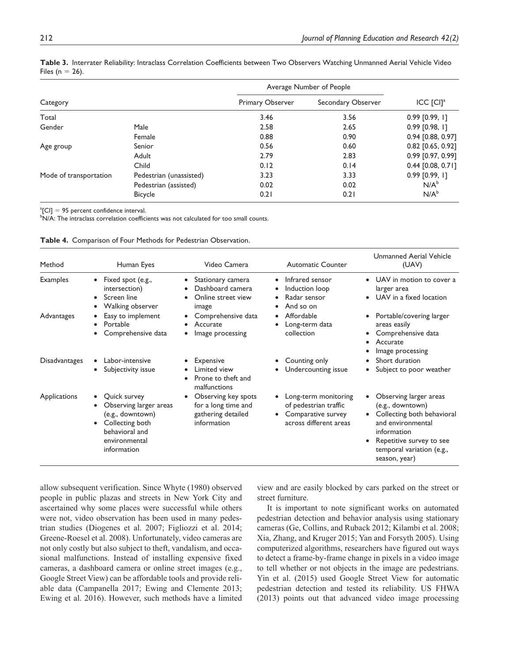|                        |                         | Average Number of People | $ICC$ $[CI]a$ |                     |
|------------------------|-------------------------|--------------------------|---------------|---------------------|
| Category               |                         | Primary Observer         |               | Secondary Observer  |
| Total                  |                         | 3.46                     | 3.56          | $0.99$ [0.99, 1]    |
| Gender                 | Male                    | 2.58                     | 2.65          | $0.99$ [0.98, 1]    |
|                        | Female                  | 0.88                     | 0.90          | 0.94 [0.88, 0.97]   |
| Age group              | Senior                  | 0.56                     | 0.60          | $0.82$ [0.65, 0.92] |
|                        | Adult                   | 2.79                     | 2.83          | 0.99 [0.97, 0.99]   |
|                        | Child                   | 0.12                     | 0.14          | 0.44 [0.08, 0.71]   |
| Mode of transportation | Pedestrian (unassisted) | 3.23                     | 3.33          | $0.99$ [0.99, 1]    |
|                        | Pedestrian (assisted)   | 0.02                     | 0.02          | $N/A^b$             |
|                        | <b>Bicycle</b>          | 0.21                     | 0.21          | $N/A^b$             |

**Table 3.** Interrater Reliability: Intraclass Correlation Coefficients between Two Observers Watching Unmanned Aerial Vehicle Video Files ( $n = 26$ ).

 ${}^a$ [CI] = 95 percent confidence interval.

<sup>b</sup>N/A: The intraclass correlation coefficients was not calculated for too small counts.

|  |  |  |  |  | Table 4. Comparison of Four Methods for Pedestrian Observation. |
|--|--|--|--|--|-----------------------------------------------------------------|
|--|--|--|--|--|-----------------------------------------------------------------|

| Method          | Human Eyes                                                                                                                      | Video Camera                                                                                   | <b>Automatic Counter</b>                                                                      | Unmanned Aerial Vehicle<br>(UAV)                                                                                                                                                                         |
|-----------------|---------------------------------------------------------------------------------------------------------------------------------|------------------------------------------------------------------------------------------------|-----------------------------------------------------------------------------------------------|----------------------------------------------------------------------------------------------------------------------------------------------------------------------------------------------------------|
| <b>Examples</b> | Fixed spot (e.g.,<br>$\bullet$<br>intersection)<br>Screen line<br>$\bullet$<br>Walking observer                                 | Stationary camera<br>$\bullet$<br>Dashboard camera<br>Online street view<br>$\bullet$<br>image | Infrared sensor<br>$\bullet$<br>Induction loop<br>Radar sensor<br>And so on                   | • UAV in motion to cover a<br>larger area<br>• UAV in a fixed location                                                                                                                                   |
| Advantages      | Easy to implement<br>Portable<br>$\bullet$<br>Comprehensive data                                                                | Comprehensive data<br>Accurate<br>Image processing                                             | Affordable<br>Long-term data<br>collection                                                    | Portable/covering larger<br>areas easily<br>Comprehensive data<br>Accurate<br>$\bullet$<br>Image processing                                                                                              |
| Disadvantages   | Labor-intensive<br>Subjectivity issue<br>$\bullet$                                                                              | Expensive<br>Limited view<br>Prone to theft and<br>malfunctions                                | Counting only<br>Undercounting issue                                                          | Short duration<br>$\bullet$<br>Subject to poor weather                                                                                                                                                   |
| Applications    | Quick survey<br>Observing larger areas<br>(e.g., downtown)<br>Collecting both<br>behavioral and<br>environmental<br>information | Observing key spots<br>for a long time and<br>gathering detailed<br>information                | Long-term monitoring<br>of pedestrian traffic<br>Comparative survey<br>across different areas | Observing larger areas<br>٠<br>(e.g., downtown)<br>Collecting both behavioral<br>$\bullet$<br>and environmental<br>information<br>Repetitive survey to see<br>temporal variation (e.g.,<br>season, year) |

allow subsequent verification. Since Whyte (1980) observed people in public plazas and streets in New York City and ascertained why some places were successful while others were not, video observation has been used in many pedestrian studies (Diogenes et al. 2007; Figliozzi et al. 2014; Greene-Roesel et al. 2008). Unfortunately, video cameras are not only costly but also subject to theft, vandalism, and occasional malfunctions. Instead of installing expensive fixed cameras, a dashboard camera or online street images (e.g., Google Street View) can be affordable tools and provide reliable data (Campanella 2017; Ewing and Clemente 2013; Ewing et al. 2016). However, such methods have a limited

view and are easily blocked by cars parked on the street or street furniture.

It is important to note significant works on automated pedestrian detection and behavior analysis using stationary cameras (Ge, Collins, and Ruback 2012; Kilambi et al. 2008; Xia, Zhang, and Kruger 2015; Yan and Forsyth 2005). Using computerized algorithms, researchers have figured out ways to detect a frame-by-frame change in pixels in a video image to tell whether or not objects in the image are pedestrians. Yin et al. (2015) used Google Street View for automatic pedestrian detection and tested its reliability. US FHWA (2013) points out that advanced video image processing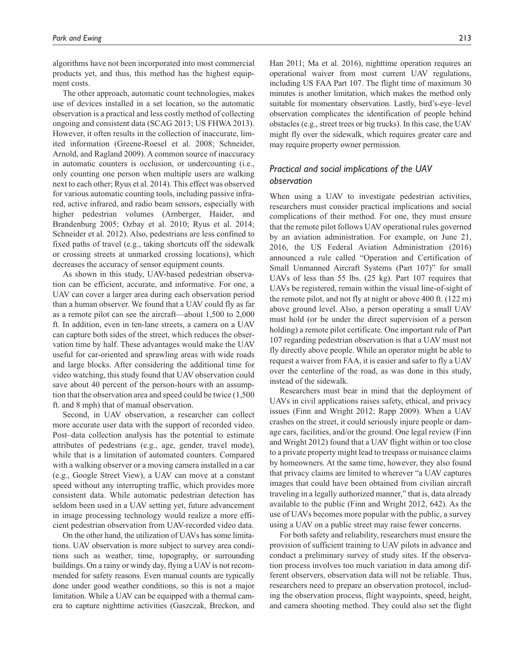algorithms have not been incorporated into most commercial products yet, and thus, this method has the highest equipment costs.

The other approach, automatic count technologies, makes use of devices installed in a set location, so the automatic observation is a practical and less costly method of collecting ongoing and consistent data (SCAG 2013; US FHWA 2013). However, it often results in the collection of inaccurate, limited information (Greene-Roesel et al. 2008; Schneider, Arnold, and Ragland 2009). A common source of inaccuracy in automatic counters is occlusion, or undercounting (i.e., only counting one person when multiple users are walking next to each other; Ryus et al. 2014). This effect was observed for various automatic counting tools, including passive infrared, active infrared, and radio beam sensors, especially with higher pedestrian volumes (Arnberger, Haider, and Brandenburg 2005; Ozbay et al. 2010; Ryus et al. 2014; Schneider et al. 2012). Also, pedestrians are less confined to fixed paths of travel (e.g., taking shortcuts off the sidewalk or crossing streets at unmarked crossing locations), which decreases the accuracy of sensor equipment counts.

As shown in this study, UAV-based pedestrian observation can be efficient, accurate, and informative. For one, a UAV can cover a larger area during each observation period than a human observer. We found that a UAV could fly as far as a remote pilot can see the aircraft—about 1,500 to 2,000 ft. In addition, even in ten-lane streets, a camera on a UAV can capture both sides of the street, which reduces the observation time by half. These advantages would make the UAV useful for car-oriented and sprawling areas with wide roads and large blocks. After considering the additional time for video watching, this study found that UAV observation could save about 40 percent of the person-hours with an assumption that the observation area and speed could be twice (1,500 ft. and 8 mph) that of manual observation.

Second, in UAV observation, a researcher can collect more accurate user data with the support of recorded video. Post–data collection analysis has the potential to estimate attributes of pedestrians (e.g., age, gender, travel mode), while that is a limitation of automated counters. Compared with a walking observer or a moving camera installed in a car (e.g., Google Street View), a UAV can move at a constant speed without any interrupting traffic, which provides more consistent data. While automatic pedestrian detection has seldom been used in a UAV setting yet, future advancement in image processing technology would realize a more efficient pedestrian observation from UAV-recorded video data.

On the other hand, the utilization of UAVs has some limitations. UAV observation is more subject to survey area conditions such as weather, time, topography, or surrounding buildings. On a rainy or windy day, flying a UAV is not recommended for safety reasons. Even manual counts are typically done under good weather conditions, so this is not a major limitation. While a UAV can be equipped with a thermal camera to capture nighttime activities (Gaszczak, Breckon, and

Han 2011; Ma et al. 2016), nighttime operation requires an operational waiver from most current UAV regulations, including US FAA Part 107. The flight time of maximum 30 minutes is another limitation, which makes the method only suitable for momentary observation. Lastly, bird's-eye–level observation complicates the identification of people behind obstacles (e.g., street trees or big trucks). In this case, the UAV might fly over the sidewalk, which requires greater care and may require property owner permission.

# *Practical and social implications of the UAV observation*

When using a UAV to investigate pedestrian activities, researchers must consider practical implications and social complications of their method. For one, they must ensure that the remote pilot follows UAV operational rules governed by an aviation administration. For example, on June 21, 2016, the US Federal Aviation Administration (2016) announced a rule called "Operation and Certification of Small Unmanned Aircraft Systems (Part 107)" for small UAVs of less than 55 lbs. (25 kg). Part 107 requires that UAVs be registered, remain within the visual line-of-sight of the remote pilot, and not fly at night or above 400 ft. (122 m) above ground level. Also, a person operating a small UAV must hold (or be under the direct supervision of a person holding) a remote pilot certificate. One important rule of Part 107 regarding pedestrian observation is that a UAV must not fly directly above people. While an operator might be able to request a waiver from FAA, it is easier and safer to fly a UAV over the centerline of the road, as was done in this study, instead of the sidewalk.

Researchers must bear in mind that the deployment of UAVs in civil applications raises safety, ethical, and privacy issues (Finn and Wright 2012; Rapp 2009). When a UAV crashes on the street, it could seriously injure people or damage cars, facilities, and/or the ground. One legal review (Finn and Wright 2012) found that a UAV flight within or too close to a private property might lead to trespass or nuisance claims by homeowners. At the same time, however, they also found that privacy claims are limited to wherever "a UAV captures images that could have been obtained from civilian aircraft traveling in a legally authorized manner," that is, data already available to the public (Finn and Wright 2012, 642). As the use of UAVs becomes more popular with the public, a survey using a UAV on a public street may raise fewer concerns.

For both safety and reliability, researchers must ensure the provision of sufficient training to UAV pilots in advance and conduct a preliminary survey of study sites. If the observation process involves too much variation in data among different observers, observation data will not be reliable. Thus, researchers need to prepare an observation protocol, including the observation process, flight waypoints, speed, height, and camera shooting method. They could also set the flight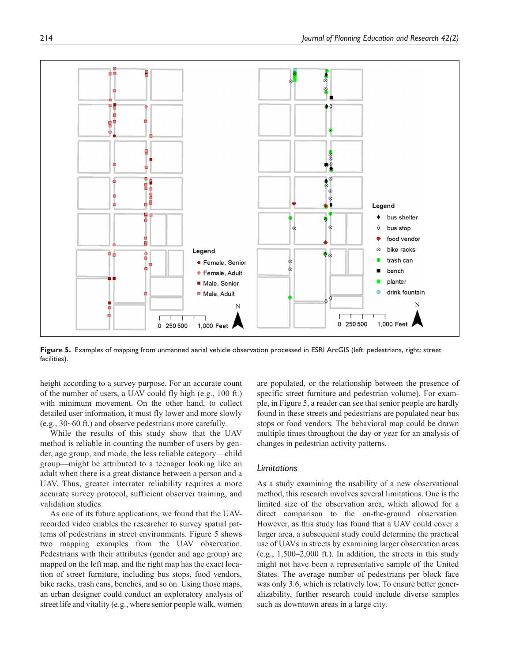

**Figure 5.** Examples of mapping from unmanned aerial vehicle observation processed in ESRI ArcGIS (left: pedestrians, right: street facilities).

height according to a survey purpose. For an accurate count of the number of users, a UAV could fly high (e.g., 100 ft.) with minimum movement. On the other hand, to collect detailed user information, it must fly lower and more slowly (e.g., 30~60 ft.) and observe pedestrians more carefully.

While the results of this study show that the UAV method is reliable in counting the number of users by gender, age group, and mode, the less reliable category—child group—might be attributed to a teenager looking like an adult when there is a great distance between a person and a UAV. Thus, greater interrater reliability requires a more accurate survey protocol, sufficient observer training, and validation studies.

As one of its future applications, we found that the UAVrecorded video enables the researcher to survey spatial patterns of pedestrians in street environments. Figure 5 shows two mapping examples from the UAV observation. Pedestrians with their attributes (gender and age group) are mapped on the left map, and the right map has the exact location of street furniture, including bus stops, food vendors, bike racks, trash cans, benches, and so on. Using those maps, an urban designer could conduct an exploratory analysis of street life and vitality (e.g., where senior people walk, women

are populated, or the relationship between the presence of specific street furniture and pedestrian volume). For example, in Figure 5, a reader can see that senior people are hardly found in these streets and pedestrians are populated near bus stops or food vendors. The behavioral map could be drawn multiple times throughout the day or year for an analysis of changes in pedestrian activity patterns.

# *Limitations*

As a study examining the usability of a new observational method, this research involves several limitations. One is the limited size of the observation area, which allowed for a direct comparison to the on-the-ground observation. However, as this study has found that a UAV could cover a larger area, a subsequent study could determine the practical use of UAVs in streets by examining larger observation areas  $(e.g., 1,500-2,000$  ft.). In addition, the streets in this study might not have been a representative sample of the United States. The average number of pedestrians per block face was only 3.6, which is relatively low. To ensure better generalizability, further research could include diverse samples such as downtown areas in a large city.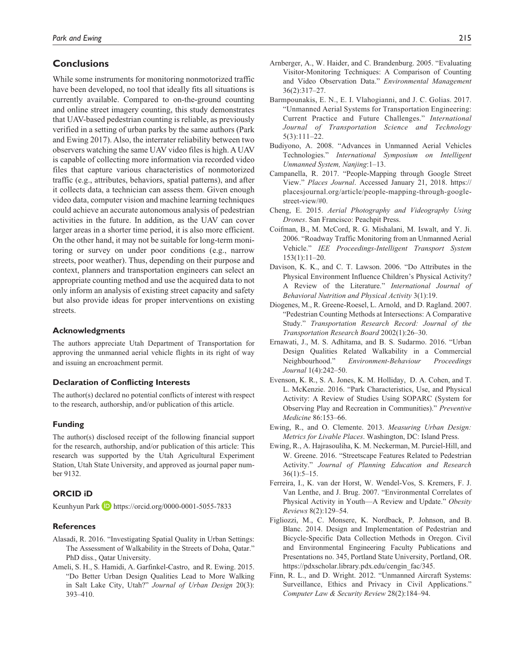# **Conclusions**

While some instruments for monitoring nonmotorized traffic have been developed, no tool that ideally fits all situations is currently available. Compared to on-the-ground counting and online street imagery counting, this study demonstrates that UAV-based pedestrian counting is reliable, as previously verified in a setting of urban parks by the same authors (Park and Ewing 2017). Also, the interrater reliability between two observers watching the same UAV video files is high. A UAV is capable of collecting more information via recorded video files that capture various characteristics of nonmotorized traffic (e.g., attributes, behaviors, spatial patterns), and after it collects data, a technician can assess them. Given enough video data, computer vision and machine learning techniques could achieve an accurate autonomous analysis of pedestrian activities in the future. In addition, as the UAV can cover larger areas in a shorter time period, it is also more efficient. On the other hand, it may not be suitable for long-term monitoring or survey on under poor conditions (e.g., narrow streets, poor weather). Thus, depending on their purpose and context, planners and transportation engineers can select an appropriate counting method and use the acquired data to not only inform an analysis of existing street capacity and safety but also provide ideas for proper interventions on existing streets.

#### **Acknowledgments**

The authors appreciate Utah Department of Transportation for approving the unmanned aerial vehicle flights in its right of way and issuing an encroachment permit.

## **Declaration of Conflicting Interests**

The author(s) declared no potential conflicts of interest with respect to the research, authorship, and/or publication of this article.

#### **Funding**

The author(s) disclosed receipt of the following financial support for the research, authorship, and/or publication of this article: This research was supported by the Utah Agricultural Experiment Station, Utah State University, and approved as journal paper number 9132.

# **ORCID iD**

Keunhyun Park D <https://orcid.org/0000-0001-5055-7833>

#### **References**

- Alasadi, R. 2016. "Investigating Spatial Quality in Urban Settings: The Assessment of Walkability in the Streets of Doha, Qatar." PhD diss., Qatar University.
- Ameli, S. H., S. Hamidi, A. Garfinkel-Castro, and R. Ewing. 2015. "Do Better Urban Design Qualities Lead to More Walking in Salt Lake City, Utah?" *Journal of Urban Design* 20(3): 393–410.
- Arnberger, A., W. Haider, and C. Brandenburg. 2005. "Evaluating Visitor-Monitoring Techniques: A Comparison of Counting and Video Observation Data." *Environmental Management* 36(2):317–27.
- Barmpounakis, E. N., E. I. Vlahogianni, and J. C. Golias. 2017. "Unmanned Aerial Systems for Transportation Engineering: Current Practice and Future Challenges." *International Journal of Transportation Science and Technology* 5(3):111–22.
- Budiyono, A. 2008. "Advances in Unmanned Aerial Vehicles Technologies." *International Symposium on Intelligent Unmanned System, Nanjing*:1–13.
- Campanella, R. 2017. "People-Mapping through Google Street View." *Places Journal*. Accessed January 21, 2018. https:// placesjournal.org/article/people-mapping-through-googlestreet-view/#0.
- Cheng, E. 2015. *Aerial Photography and Videography Using Drones*. San Francisco: Peachpit Press.
- Coifman, B., M. McCord, R. G. Mishalani, M. Iswalt, and Y. Ji. 2006. "Roadway Traffic Monitoring from an Unmanned Aerial Vehicle." *IEE Proceedings-Intelligent Transport System* 153(1):11–20.
- Davison, K. K., and C. T. Lawson. 2006. "Do Attributes in the Physical Environment Influence Children's Physical Activity? A Review of the Literature." *International Journal of Behavioral Nutrition and Physical Activity* 3(1):19.
- Diogenes, M., R. Greene-Roesel, L. Arnold, and D. Ragland. 2007. "Pedestrian Counting Methods at Intersections: A Comparative Study." *Transportation Research Record: Journal of the Transportation Research Board* 2002(1):26–30.
- Ernawati, J., M. S. Adhitama, and B. S. Sudarmo. 2016. "Urban Design Qualities Related Walkability in a Commercial Neighbourhood." *Environment-Behaviour Proceedings Journal* 1(4):242–50.
- Evenson, K. R., S. A. Jones, K. M. Holliday, D. A. Cohen, and T. L. McKenzie. 2016. "Park Characteristics, Use, and Physical Activity: A Review of Studies Using SOPARC (System for Observing Play and Recreation in Communities)." *Preventive Medicine* 86:153–66.
- Ewing, R., and O. Clemente. 2013. *Measuring Urban Design: Metrics for Livable Places*. Washington, DC: Island Press.
- Ewing, R., A. Hajrasouliha, K. M. Neckerman, M. Purciel-Hill, and W. Greene. 2016. "Streetscape Features Related to Pedestrian Activity." *Journal of Planning Education and Research*  $36(1):5-15.$
- Ferreira, I., K. van der Horst, W. Wendel-Vos, S. Kremers, F. J. Van Lenthe, and J. Brug. 2007. "Environmental Correlates of Physical Activity in Youth—A Review and Update." *Obesity Reviews* 8(2):129–54.
- Figliozzi, M., C. Monsere, K. Nordback, P. Johnson, and B. Blanc. 2014. Design and Implementation of Pedestrian and Bicycle-Specific Data Collection Methods in Oregon. Civil and Environmental Engineering Faculty Publications and Presentations no. 345, Portland State University, Portland, OR. https://pdxscholar.library.pdx.edu/cengin\_fac/345.
- Finn, R. L., and D. Wright. 2012. "Unmanned Aircraft Systems: Surveillance, Ethics and Privacy in Civil Applications." *Computer Law & Security Review* 28(2):184–94.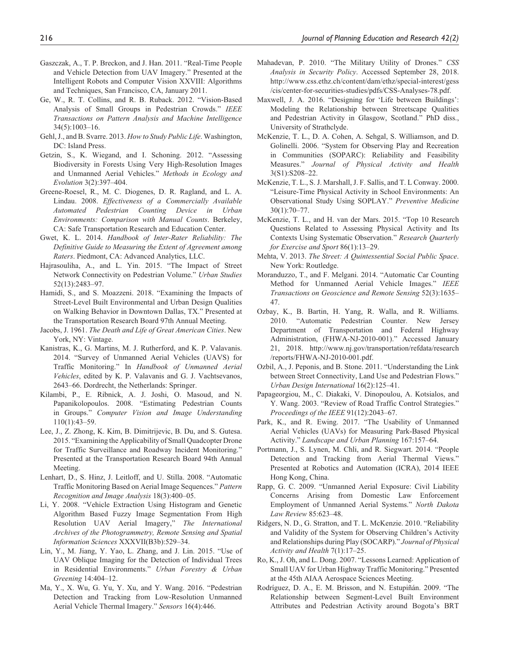- Gaszczak, A., T. P. Breckon, and J. Han. 2011. "Real-Time People and Vehicle Detection from UAV Imagery." Presented at the Intelligent Robots and Computer Vision XXVIII: Algorithms and Techniques, San Francisco, CA, January 2011.
- Ge, W., R. T. Collins, and R. B. Ruback. 2012. "Vision-Based Analysis of Small Groups in Pedestrian Crowds." *IEEE Transactions on Pattern Analysis and Machine Intelligence* 34(5):1003–16.
- Gehl, J., and B. Svarre. 2013. *How to Study Public Life*. Washington, DC: Island Press.
- Getzin, S., K. Wiegand, and I. Schoning. 2012. "Assessing Biodiversity in Forests Using Very High-Resolution Images and Unmanned Aerial Vehicles." *Methods in Ecology and Evolution* 3(2):397–404.
- Greene-Roesel, R., M. C. Diogenes, D. R. Ragland, and L. A. Lindau. 2008. *Effectiveness of a Commercially Available Automated Pedestrian Counting Device in Urban Environments: Comparison with Manual Counts*. Berkeley, CA: Safe Transportation Research and Education Center.
- Gwet, K. L. 2014. *Handbook of Inter-Rater Reliability: The Definitive Guide to Measuring the Extent of Agreement among Raters*. Piedmont, CA: Advanced Analytics, LLC.
- Hajrasouliha, A., and L. Yin. 2015. "The Impact of Street Network Connectivity on Pedestrian Volume." *Urban Studies* 52(13):2483–97.
- Hamidi, S., and S. Moazzeni. 2018. "Examining the Impacts of Street-Level Built Environmental and Urban Design Qualities on Walking Behavior in Downtown Dallas, TX." Presented at the Transportation Research Board 97th Annual Meeting.
- Jacobs, J. 1961. *The Death and Life of Great American Cities*. New York, NY: Vintage.
- Kanistras, K., G. Martins, M. J. Rutherford, and K. P. Valavanis. 2014. "Survey of Unmanned Aerial Vehicles (UAVS) for Traffic Monitoring." In *Handbook of Unmanned Aerial Vehicles*, edited by K. P. Valavanis and G. J. Vachtsevanos, 2643–66. Dordrecht, the Netherlands: Springer.
- Kilambi, P., E. Ribnick, A. J. Joshi, O. Masoud, and N. Papanikolopoulos. 2008. "Estimating Pedestrian Counts in Groups." *Computer Vision and Image Understanding* 110(1):43–59.
- Lee, J., Z. Zhong, K. Kim, B. Dimitrijevic, B. Du, and S. Gutesa. 2015. "Examining the Applicability of Small Quadcopter Drone for Traffic Surveillance and Roadway Incident Monitoring." Presented at the Transportation Research Board 94th Annual Meeting.
- Lenhart, D., S. Hinz, J. Leitloff, and U. Stilla. 2008. "Automatic Traffic Monitoring Based on Aerial Image Sequences." *Pattern Recognition and Image Analysis* 18(3):400–05.
- Li, Y. 2008. "Vehicle Extraction Using Histogram and Genetic Algorithm Based Fuzzy Image Segmentation From High Resolution UAV Aerial Imagery," *The International Archives of the Photogrammetry, Remote Sensing and Spatial Information Sciences* XXXVII(B3b):529–34.
- Lin, Y., M. Jiang, Y. Yao, L. Zhang, and J. Lin. 2015. "Use of UAV Oblique Imaging for the Detection of Individual Trees in Residential Environments." *Urban Forestry & Urban Greening* 14:404–12.
- Ma, Y., X. Wu, G. Yu, Y. Xu, and Y. Wang. 2016. "Pedestrian Detection and Tracking from Low-Resolution Unmanned Aerial Vehicle Thermal Imagery." *Sensors* 16(4):446.
- Mahadevan, P. 2010. "The Military Utility of Drones." *CSS Analysis in Security Policy*. Accessed September 28, 2018. http://www.css.ethz.ch/content/dam/ethz/special-interest/gess /cis/center-for-securities-studies/pdfs/CSS-Analyses-78.pdf.
- Maxwell, J. A. 2016. "Designing for 'Life between Buildings': Modeling the Relationship between Streetscape Qualities and Pedestrian Activity in Glasgow, Scotland." PhD diss., University of Strathclyde.
- McKenzie, T. L., D. A. Cohen, A. Sehgal, S. Williamson, and D. Golinelli. 2006. "System for Observing Play and Recreation in Communities (SOPARC): Reliability and Feasibility Measures." *Journal of Physical Activity and Health* 3(S1):S208–22.
- McKenzie, T. L., S. J. Marshall, J. F. Sallis, and T. L Conway. 2000. "Leisure-Time Physical Activity in School Environments: An Observational Study Using SOPLAY." *Preventive Medicine* 30(1):70–77.
- McKenzie, T. L., and H. van der Mars. 2015. "Top 10 Research Questions Related to Assessing Physical Activity and Its Contexts Using Systematic Observation." *Research Quarterly for Exercise and Sport* 86(1):13–29.
- Mehta, V. 2013. *The Street: A Quintessential Social Public Space*. New York: Routledge.
- Moranduzzo, T., and F. Melgani. 2014. "Automatic Car Counting Method for Unmanned Aerial Vehicle Images." *IEEE Transactions on Geoscience and Remote Sensing* 52(3):1635– 47.
- Ozbay, K., B. Bartin, H. Yang, R. Walla, and R. Williams. 2010. "Automatic Pedestrian Counter. New Jersey Department of Transportation and Federal Highway Administration, (FHWA-NJ-2010-001)." Accessed January 21, 2018. http://www.nj.gov/transportation/refdata/research /reports/FHWA-NJ-2010-001.pdf.
- Ozbil, A., J. Peponis, and B. Stone. 2011. "Understanding the Link between Street Connectivity, Land Use and Pedestrian Flows." *Urban Design International* 16(2):125–41.
- Papageorgiou, M., C. Diakaki, V. Dinopoulou, A. Kotsialos, and Y. Wang. 2003. "Review of Road Traffic Control Strategies." *Proceedings of the IEEE* 91(12):2043–67.
- Park, K., and R. Ewing. 2017. "The Usability of Unmanned Aerial Vehicles (UAVs) for Measuring Park-Based Physical Activity." *Landscape and Urban Planning* 167:157–64.
- Portmann, J., S. Lynen, M. Chli, and R. Siegwart. 2014. "People Detection and Tracking from Aerial Thermal Views." Presented at Robotics and Automation (ICRA), 2014 IEEE Hong Kong, China.
- Rapp, G. C. 2009. "Unmanned Aerial Exposure: Civil Liability Concerns Arising from Domestic Law Enforcement Employment of Unmanned Aerial Systems." *North Dakota Law Review* 85:623–48.
- Ridgers, N. D., G. Stratton, and T. L. McKenzie. 2010. "Reliability and Validity of the System for Observing Children's Activity and Relationships during Play (SOCARP)." *Journal of Physical Activity and Health* 7(1):17–25.
- Ro, K., J. Oh, and L. Dong. 2007. "Lessons Learned: Application of Small UAV for Urban Highway Traffic Monitoring." Presented at the 45th AIAA Aerospace Sciences Meeting.
- Rodríguez, D. A., E. M. Brisson, and N. Estupiñán. 2009. "The Relationship between Segment-Level Built Environment Attributes and Pedestrian Activity around Bogota's BRT